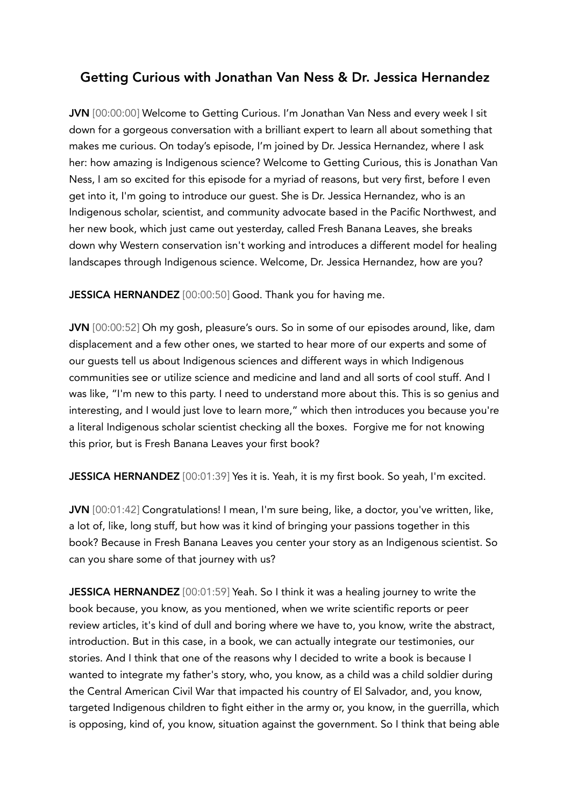## Getting Curious with Jonathan Van Ness & Dr. Jessica Hernandez

JVN [00:00:00] Welcome to Getting Curious. I'm Jonathan Van Ness and every week I sit down for a gorgeous conversation with a brilliant expert to learn all about something that makes me curious. On today's episode, I'm joined by Dr. Jessica Hernandez, where I ask her: how amazing is Indigenous science? Welcome to Getting Curious, this is Jonathan Van Ness, I am so excited for this episode for a myriad of reasons, but very first, before I even get into it, I'm going to introduce our guest. She is Dr. Jessica Hernandez, who is an Indigenous scholar, scientist, and community advocate based in the Pacific Northwest, and her new book, which just came out yesterday, called Fresh Banana Leaves, she breaks down why Western conservation isn't working and introduces a different model for healing landscapes through Indigenous science. Welcome, Dr. Jessica Hernandez, how are you?

JESSICA HERNANDEZ [00:00:50] Good. Thank you for having me.

JVN [00:00:52] Oh my gosh, pleasure's ours. So in some of our episodes around, like, dam displacement and a few other ones, we started to hear more of our experts and some of our guests tell us about Indigenous sciences and different ways in which Indigenous communities see or utilize science and medicine and land and all sorts of cool stuff. And I was like, "I'm new to this party. I need to understand more about this. This is so genius and interesting, and I would just love to learn more," which then introduces you because you're a literal Indigenous scholar scientist checking all the boxes. Forgive me for not knowing this prior, but is Fresh Banana Leaves your first book?

JESSICA HERNANDEZ [00:01:39] Yes it is. Yeah, it is my first book. So yeah, I'm excited.

JVN [00:01:42] Congratulations! I mean, I'm sure being, like, a doctor, you've written, like, a lot of, like, long stuff, but how was it kind of bringing your passions together in this book? Because in Fresh Banana Leaves you center your story as an Indigenous scientist. So can you share some of that journey with us?

JESSICA HERNANDEZ [00:01:59] Yeah. So I think it was a healing journey to write the book because, you know, as you mentioned, when we write scientific reports or peer review articles, it's kind of dull and boring where we have to, you know, write the abstract, introduction. But in this case, in a book, we can actually integrate our testimonies, our stories. And I think that one of the reasons why I decided to write a book is because I wanted to integrate my father's story, who, you know, as a child was a child soldier during the Central American Civil War that impacted his country of El Salvador, and, you know, targeted Indigenous children to fight either in the army or, you know, in the guerrilla, which is opposing, kind of, you know, situation against the government. So I think that being able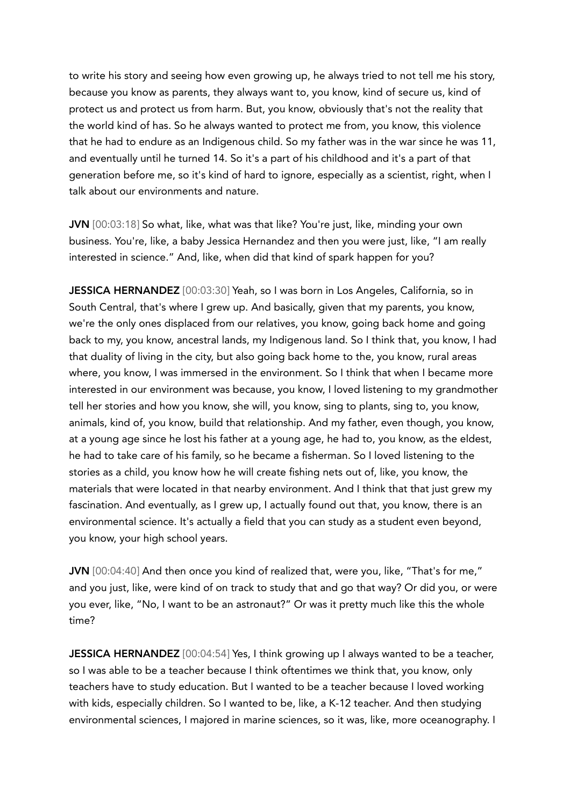to write his story and seeing how even growing up, he always tried to not tell me his story, because you know as parents, they always want to, you know, kind of secure us, kind of protect us and protect us from harm. But, you know, obviously that's not the reality that the world kind of has. So he always wanted to protect me from, you know, this violence that he had to endure as an Indigenous child. So my father was in the war since he was 11, and eventually until he turned 14. So it's a part of his childhood and it's a part of that generation before me, so it's kind of hard to ignore, especially as a scientist, right, when I talk about our environments and nature.

JVN [00:03:18] So what, like, what was that like? You're just, like, minding your own business. You're, like, a baby Jessica Hernandez and then you were just, like, "I am really interested in science." And, like, when did that kind of spark happen for you?

JESSICA HERNANDEZ [00:03:30] Yeah, so I was born in Los Angeles, California, so in South Central, that's where I grew up. And basically, given that my parents, you know, we're the only ones displaced from our relatives, you know, going back home and going back to my, you know, ancestral lands, my Indigenous land. So I think that, you know, I had that duality of living in the city, but also going back home to the, you know, rural areas where, you know, I was immersed in the environment. So I think that when I became more interested in our environment was because, you know, I loved listening to my grandmother tell her stories and how you know, she will, you know, sing to plants, sing to, you know, animals, kind of, you know, build that relationship. And my father, even though, you know, at a young age since he lost his father at a young age, he had to, you know, as the eldest, he had to take care of his family, so he became a fisherman. So I loved listening to the stories as a child, you know how he will create fishing nets out of, like, you know, the materials that were located in that nearby environment. And I think that that just grew my fascination. And eventually, as I grew up, I actually found out that, you know, there is an environmental science. It's actually a field that you can study as a student even beyond, you know, your high school years.

JVN [00:04:40] And then once you kind of realized that, were you, like, "That's for me," and you just, like, were kind of on track to study that and go that way? Or did you, or were you ever, like, "No, I want to be an astronaut?" Or was it pretty much like this the whole time?

JESSICA HERNANDEZ [00:04:54] Yes, I think growing up I always wanted to be a teacher, so I was able to be a teacher because I think oftentimes we think that, you know, only teachers have to study education. But I wanted to be a teacher because I loved working with kids, especially children. So I wanted to be, like, a K-12 teacher. And then studying environmental sciences, I majored in marine sciences, so it was, like, more oceanography. I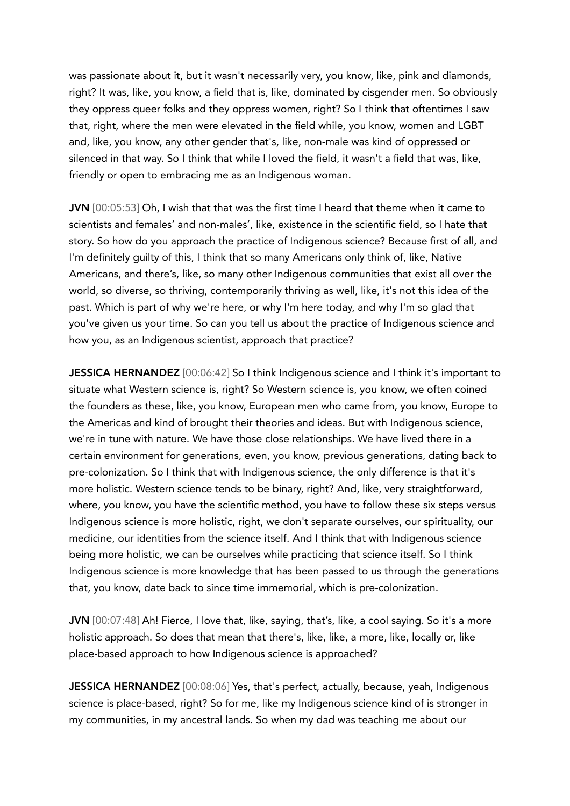was passionate about it, but it wasn't necessarily very, you know, like, pink and diamonds, right? It was, like, you know, a field that is, like, dominated by cisgender men. So obviously they oppress queer folks and they oppress women, right? So I think that oftentimes I saw that, right, where the men were elevated in the field while, you know, women and LGBT and, like, you know, any other gender that's, like, non-male was kind of oppressed or silenced in that way. So I think that while I loved the field, it wasn't a field that was, like, friendly or open to embracing me as an Indigenous woman.

JVN [00:05:53] Oh, I wish that that was the first time I heard that theme when it came to scientists and females' and non-males', like, existence in the scientific field, so I hate that story. So how do you approach the practice of Indigenous science? Because first of all, and I'm definitely guilty of this, I think that so many Americans only think of, like, Native Americans, and there's, like, so many other Indigenous communities that exist all over the world, so diverse, so thriving, contemporarily thriving as well, like, it's not this idea of the past. Which is part of why we're here, or why I'm here today, and why I'm so glad that you've given us your time. So can you tell us about the practice of Indigenous science and how you, as an Indigenous scientist, approach that practice?

JESSICA HERNANDEZ [00:06:42] So I think Indigenous science and I think it's important to situate what Western science is, right? So Western science is, you know, we often coined the founders as these, like, you know, European men who came from, you know, Europe to the Americas and kind of brought their theories and ideas. But with Indigenous science, we're in tune with nature. We have those close relationships. We have lived there in a certain environment for generations, even, you know, previous generations, dating back to pre-colonization. So I think that with Indigenous science, the only difference is that it's more holistic. Western science tends to be binary, right? And, like, very straightforward, where, you know, you have the scientific method, you have to follow these six steps versus Indigenous science is more holistic, right, we don't separate ourselves, our spirituality, our medicine, our identities from the science itself. And I think that with Indigenous science being more holistic, we can be ourselves while practicing that science itself. So I think Indigenous science is more knowledge that has been passed to us through the generations that, you know, date back to since time immemorial, which is pre-colonization.

JVN [00:07:48] Ah! Fierce, I love that, like, saying, that's, like, a cool saying. So it's a more holistic approach. So does that mean that there's, like, like, a more, like, locally or, like place-based approach to how Indigenous science is approached?

JESSICA HERNANDEZ [00:08:06] Yes, that's perfect, actually, because, yeah, Indigenous science is place-based, right? So for me, like my Indigenous science kind of is stronger in my communities, in my ancestral lands. So when my dad was teaching me about our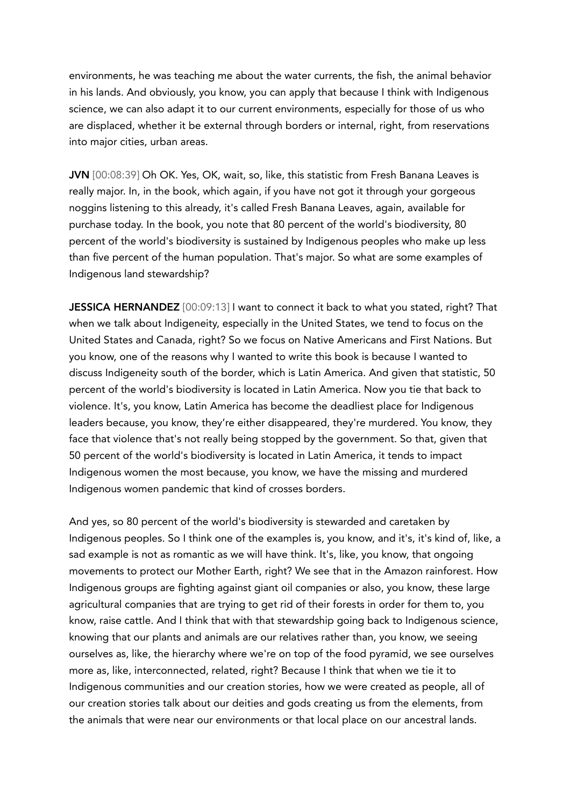environments, he was teaching me about the water currents, the fish, the animal behavior in his lands. And obviously, you know, you can apply that because I think with Indigenous science, we can also adapt it to our current environments, especially for those of us who are displaced, whether it be external through borders or internal, right, from reservations into major cities, urban areas.

JVN [00:08:39] Oh OK. Yes, OK, wait, so, like, this statistic from Fresh Banana Leaves is really major. In, in the book, which again, if you have not got it through your gorgeous noggins listening to this already, it's called Fresh Banana Leaves, again, available for purchase today. In the book, you note that 80 percent of the world's biodiversity, 80 percent of the world's biodiversity is sustained by Indigenous peoples who make up less than five percent of the human population. That's major. So what are some examples of Indigenous land stewardship?

JESSICA HERNANDEZ [00:09:13] I want to connect it back to what you stated, right? That when we talk about Indigeneity, especially in the United States, we tend to focus on the United States and Canada, right? So we focus on Native Americans and First Nations. But you know, one of the reasons why I wanted to write this book is because I wanted to discuss Indigeneity south of the border, which is Latin America. And given that statistic, 50 percent of the world's biodiversity is located in Latin America. Now you tie that back to violence. It's, you know, Latin America has become the deadliest place for Indigenous leaders because, you know, they're either disappeared, they're murdered. You know, they face that violence that's not really being stopped by the government. So that, given that 50 percent of the world's biodiversity is located in Latin America, it tends to impact Indigenous women the most because, you know, we have the missing and murdered Indigenous women pandemic that kind of crosses borders.

And yes, so 80 percent of the world's biodiversity is stewarded and caretaken by Indigenous peoples. So I think one of the examples is, you know, and it's, it's kind of, like, a sad example is not as romantic as we will have think. It's, like, you know, that ongoing movements to protect our Mother Earth, right? We see that in the Amazon rainforest. How Indigenous groups are fighting against giant oil companies or also, you know, these large agricultural companies that are trying to get rid of their forests in order for them to, you know, raise cattle. And I think that with that stewardship going back to Indigenous science, knowing that our plants and animals are our relatives rather than, you know, we seeing ourselves as, like, the hierarchy where we're on top of the food pyramid, we see ourselves more as, like, interconnected, related, right? Because I think that when we tie it to Indigenous communities and our creation stories, how we were created as people, all of our creation stories talk about our deities and gods creating us from the elements, from the animals that were near our environments or that local place on our ancestral lands.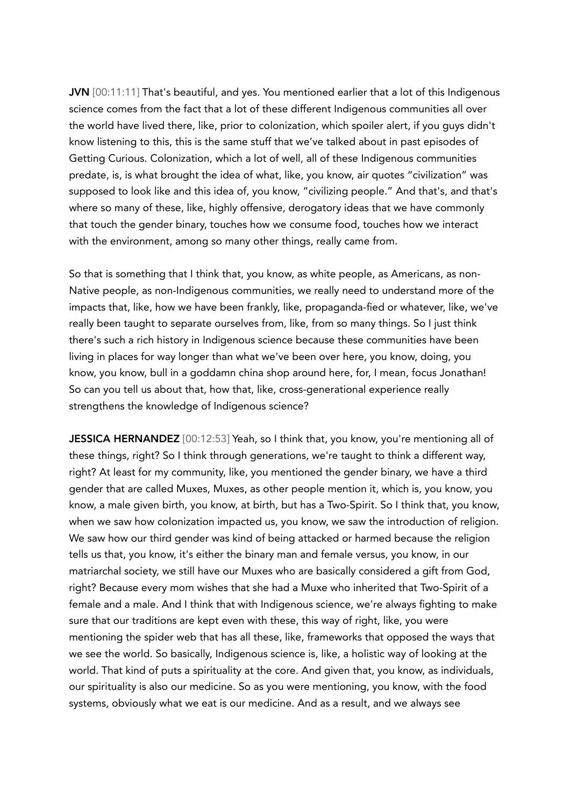JVN [00:11:11] That's beautiful, and yes. You mentioned earlier that a lot of this Indigenous science comes from the fact that a lot of these different Indigenous communities all over the world have lived there, like, prior to colonization, which spoiler alert, if you guys didn't know listening to this, this is the same stuff that we've talked about in past episodes of Getting Curious. Colonization, which a lot of well, all of these Indigenous communities predate, is, is what brought the idea of what, like, you know, air quotes "civilization" was supposed to look like and this idea of, you know, "civilizing people." And that's, and that's where so many of these, like, highly offensive, derogatory ideas that we have commonly that touch the gender binary, touches how we consume food, touches how we interact with the environment, among so many other things, really came from.

So that is something that I think that, you know, as white people, as Americans, as non-Native people, as non-Indigenous communities, we really need to understand more of the impacts that, like, how we have been frankly, like, propaganda-fied or whatever, like, we've really been taught to separate ourselves from, like, from so many things. So I just think there's such a rich history in Indigenous science because these communities have been living in places for way longer than what we've been over here, you know, doing, you know, you know, bull in a goddamn china shop around here, for, I mean, focus Jonathan! So can you tell us about that, how that, like, cross-generational experience really strengthens the knowledge of Indigenous science?

JESSICA HERNANDEZ [00:12:53] Yeah, so I think that, you know, you're mentioning all of these things, right? So I think through generations, we're taught to think a different way, right? At least for my community, like, you mentioned the gender binary, we have a third gender that are called Muxes, Muxes, as other people mention it, which is, you know, you know, a male given birth, you know, at birth, but has a Two-Spirit. So I think that, you know, when we saw how colonization impacted us, you know, we saw the introduction of religion. We saw how our third gender was kind of being attacked or harmed because the religion tells us that, you know, it's either the binary man and female versus, you know, in our matriarchal society, we still have our Muxes who are basically considered a gift from God, right? Because every mom wishes that she had a Muxe who inherited that Two-Spirit of a female and a male. And I think that with Indigenous science, we're always fighting to make sure that our traditions are kept even with these, this way of right, like, you were mentioning the spider web that has all these, like, frameworks that opposed the ways that we see the world. So basically, Indigenous science is, like, a holistic way of looking at the world. That kind of puts a spirituality at the core. And given that, you know, as individuals, our spirituality is also our medicine. So as you were mentioning, you know, with the food systems, obviously what we eat is our medicine. And as a result, and we always see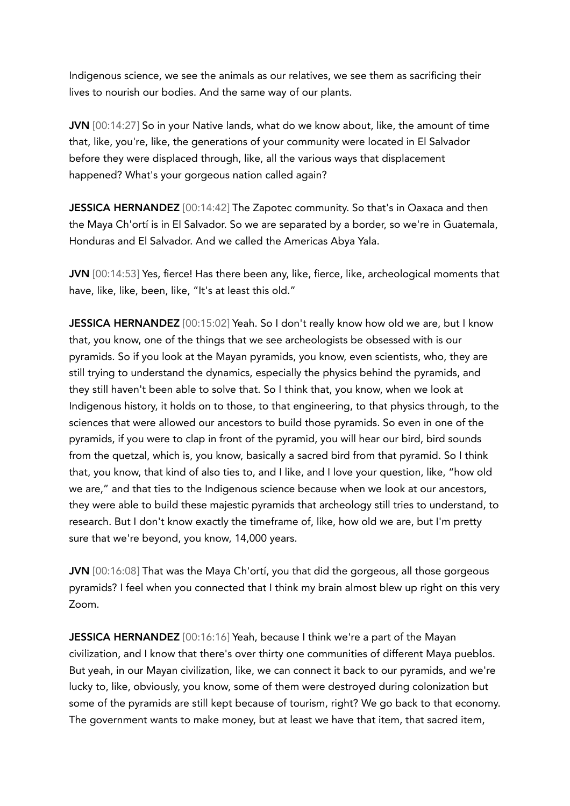Indigenous science, we see the animals as our relatives, we see them as sacrificing their lives to nourish our bodies. And the same way of our plants.

JVN [00:14:27] So in your Native lands, what do we know about, like, the amount of time that, like, you're, like, the generations of your community were located in El Salvador before they were displaced through, like, all the various ways that displacement happened? What's your gorgeous nation called again?

JESSICA HERNANDEZ [00:14:42] The Zapotec community. So that's in Oaxaca and then the Maya Ch'ortí is in El Salvador. So we are separated by a border, so we're in Guatemala, Honduras and El Salvador. And we called the Americas Abya Yala.

JVN [00:14:53] Yes, fierce! Has there been any, like, fierce, like, archeological moments that have, like, like, been, like, "It's at least this old."

JESSICA HERNANDEZ [00:15:02] Yeah. So I don't really know how old we are, but I know that, you know, one of the things that we see archeologists be obsessed with is our pyramids. So if you look at the Mayan pyramids, you know, even scientists, who, they are still trying to understand the dynamics, especially the physics behind the pyramids, and they still haven't been able to solve that. So I think that, you know, when we look at Indigenous history, it holds on to those, to that engineering, to that physics through, to the sciences that were allowed our ancestors to build those pyramids. So even in one of the pyramids, if you were to clap in front of the pyramid, you will hear our bird, bird sounds from the quetzal, which is, you know, basically a sacred bird from that pyramid. So I think that, you know, that kind of also ties to, and I like, and I love your question, like, "how old we are," and that ties to the Indigenous science because when we look at our ancestors, they were able to build these majestic pyramids that archeology still tries to understand, to research. But I don't know exactly the timeframe of, like, how old we are, but I'm pretty sure that we're beyond, you know, 14,000 years.

JVN [00:16:08] That was the Maya Ch'ortí, you that did the gorgeous, all those gorgeous pyramids? I feel when you connected that I think my brain almost blew up right on this very Zoom.

JESSICA HERNANDEZ [00:16:16] Yeah, because I think we're a part of the Mayan civilization, and I know that there's over thirty one communities of different Maya pueblos. But yeah, in our Mayan civilization, like, we can connect it back to our pyramids, and we're lucky to, like, obviously, you know, some of them were destroyed during colonization but some of the pyramids are still kept because of tourism, right? We go back to that economy. The government wants to make money, but at least we have that item, that sacred item,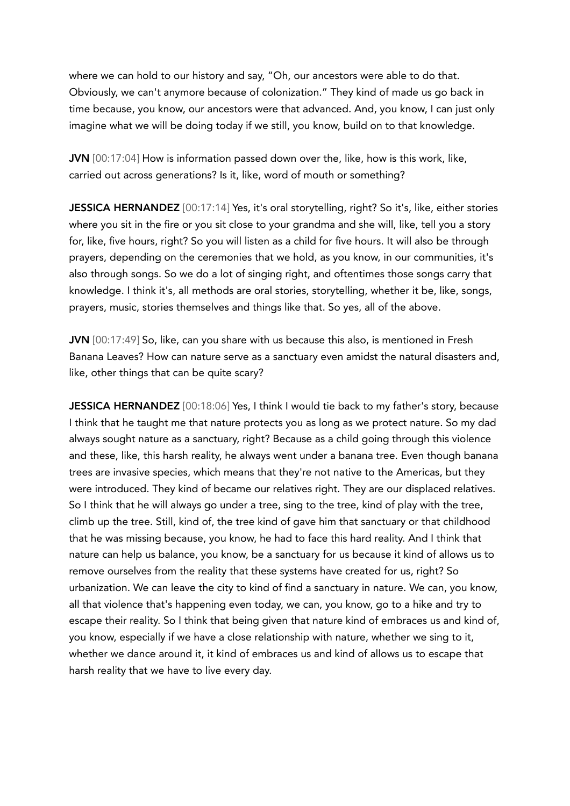where we can hold to our history and say, "Oh, our ancestors were able to do that. Obviously, we can't anymore because of colonization." They kind of made us go back in time because, you know, our ancestors were that advanced. And, you know, I can just only imagine what we will be doing today if we still, you know, build on to that knowledge.

JVN [00:17:04] How is information passed down over the, like, how is this work, like, carried out across generations? Is it, like, word of mouth or something?

JESSICA HERNANDEZ [00:17:14] Yes, it's oral storytelling, right? So it's, like, either stories where you sit in the fire or you sit close to your grandma and she will, like, tell you a story for, like, five hours, right? So you will listen as a child for five hours. It will also be through prayers, depending on the ceremonies that we hold, as you know, in our communities, it's also through songs. So we do a lot of singing right, and oftentimes those songs carry that knowledge. I think it's, all methods are oral stories, storytelling, whether it be, like, songs, prayers, music, stories themselves and things like that. So yes, all of the above.

JVN [00:17:49] So, like, can you share with us because this also, is mentioned in Fresh Banana Leaves? How can nature serve as a sanctuary even amidst the natural disasters and, like, other things that can be quite scary?

JESSICA HERNANDEZ [00:18:06] Yes, I think I would tie back to my father's story, because I think that he taught me that nature protects you as long as we protect nature. So my dad always sought nature as a sanctuary, right? Because as a child going through this violence and these, like, this harsh reality, he always went under a banana tree. Even though banana trees are invasive species, which means that they're not native to the Americas, but they were introduced. They kind of became our relatives right. They are our displaced relatives. So I think that he will always go under a tree, sing to the tree, kind of play with the tree, climb up the tree. Still, kind of, the tree kind of gave him that sanctuary or that childhood that he was missing because, you know, he had to face this hard reality. And I think that nature can help us balance, you know, be a sanctuary for us because it kind of allows us to remove ourselves from the reality that these systems have created for us, right? So urbanization. We can leave the city to kind of find a sanctuary in nature. We can, you know, all that violence that's happening even today, we can, you know, go to a hike and try to escape their reality. So I think that being given that nature kind of embraces us and kind of, you know, especially if we have a close relationship with nature, whether we sing to it, whether we dance around it, it kind of embraces us and kind of allows us to escape that harsh reality that we have to live every day.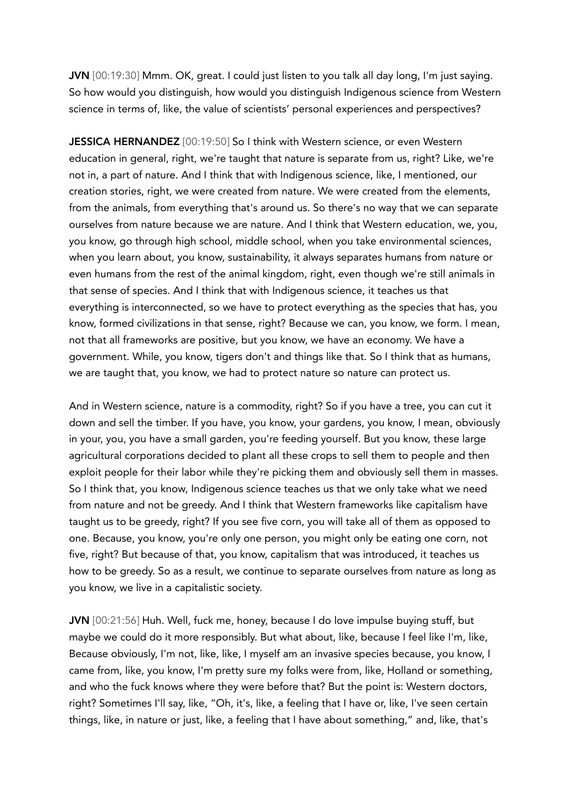JVN [00:19:30] Mmm. OK, great. I could just listen to you talk all day long, I'm just saying. So how would you distinguish, how would you distinguish Indigenous science from Western science in terms of, like, the value of scientists' personal experiences and perspectives?

JESSICA HERNANDEZ [00:19:50] So I think with Western science, or even Western education in general, right, we're taught that nature is separate from us, right? Like, we're not in, a part of nature. And I think that with Indigenous science, like, I mentioned, our creation stories, right, we were created from nature. We were created from the elements, from the animals, from everything that's around us. So there's no way that we can separate ourselves from nature because we are nature. And I think that Western education, we, you, you know, go through high school, middle school, when you take environmental sciences, when you learn about, you know, sustainability, it always separates humans from nature or even humans from the rest of the animal kingdom, right, even though we're still animals in that sense of species. And I think that with Indigenous science, it teaches us that everything is interconnected, so we have to protect everything as the species that has, you know, formed civilizations in that sense, right? Because we can, you know, we form. I mean, not that all frameworks are positive, but you know, we have an economy. We have a government. While, you know, tigers don't and things like that. So I think that as humans, we are taught that, you know, we had to protect nature so nature can protect us.

And in Western science, nature is a commodity, right? So if you have a tree, you can cut it down and sell the timber. If you have, you know, your gardens, you know, I mean, obviously in your, you, you have a small garden, you're feeding yourself. But you know, these large agricultural corporations decided to plant all these crops to sell them to people and then exploit people for their labor while they're picking them and obviously sell them in masses. So I think that, you know, Indigenous science teaches us that we only take what we need from nature and not be greedy. And I think that Western frameworks like capitalism have taught us to be greedy, right? If you see five corn, you will take all of them as opposed to one. Because, you know, you're only one person, you might only be eating one corn, not five, right? But because of that, you know, capitalism that was introduced, it teaches us how to be greedy. So as a result, we continue to separate ourselves from nature as long as you know, we live in a capitalistic society.

JVN [00:21:56] Huh. Well, fuck me, honey, because I do love impulse buying stuff, but maybe we could do it more responsibly. But what about, like, because I feel like I'm, like, Because obviously, I'm not, like, like, I myself am an invasive species because, you know, I came from, like, you know, I'm pretty sure my folks were from, like, Holland or something, and who the fuck knows where they were before that? But the point is: Western doctors, right? Sometimes I'll say, like, "Oh, it's, like, a feeling that I have or, like, I've seen certain things, like, in nature or just, like, a feeling that I have about something," and, like, that's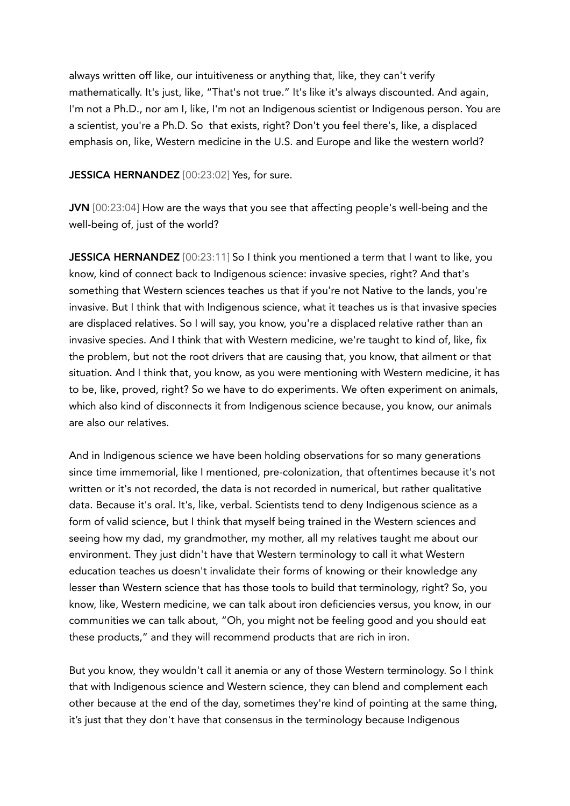always written off like, our intuitiveness or anything that, like, they can't verify mathematically. It's just, like, "That's not true." It's like it's always discounted. And again, I'm not a Ph.D., nor am I, like, I'm not an Indigenous scientist or Indigenous person. You are a scientist, you're a Ph.D. So that exists, right? Don't you feel there's, like, a displaced emphasis on, like, Western medicine in the U.S. and Europe and like the western world?

JESSICA HERNANDEZ [00:23:02] Yes, for sure.

JVN [00:23:04] How are the ways that you see that affecting people's well-being and the well-being of, just of the world?

JESSICA HERNANDEZ [00:23:11] So I think you mentioned a term that I want to like, you know, kind of connect back to Indigenous science: invasive species, right? And that's something that Western sciences teaches us that if you're not Native to the lands, you're invasive. But I think that with Indigenous science, what it teaches us is that invasive species are displaced relatives. So I will say, you know, you're a displaced relative rather than an invasive species. And I think that with Western medicine, we're taught to kind of, like, fix the problem, but not the root drivers that are causing that, you know, that ailment or that situation. And I think that, you know, as you were mentioning with Western medicine, it has to be, like, proved, right? So we have to do experiments. We often experiment on animals, which also kind of disconnects it from Indigenous science because, you know, our animals are also our relatives.

And in Indigenous science we have been holding observations for so many generations since time immemorial, like I mentioned, pre-colonization, that oftentimes because it's not written or it's not recorded, the data is not recorded in numerical, but rather qualitative data. Because it's oral. It's, like, verbal. Scientists tend to deny Indigenous science as a form of valid science, but I think that myself being trained in the Western sciences and seeing how my dad, my grandmother, my mother, all my relatives taught me about our environment. They just didn't have that Western terminology to call it what Western education teaches us doesn't invalidate their forms of knowing or their knowledge any lesser than Western science that has those tools to build that terminology, right? So, you know, like, Western medicine, we can talk about iron deficiencies versus, you know, in our communities we can talk about, "Oh, you might not be feeling good and you should eat these products," and they will recommend products that are rich in iron.

But you know, they wouldn't call it anemia or any of those Western terminology. So I think that with Indigenous science and Western science, they can blend and complement each other because at the end of the day, sometimes they're kind of pointing at the same thing, it's just that they don't have that consensus in the terminology because Indigenous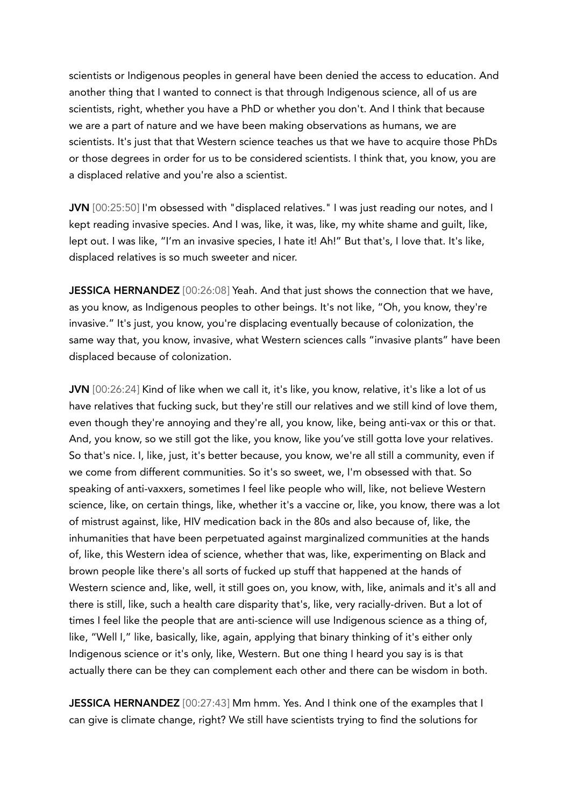scientists or Indigenous peoples in general have been denied the access to education. And another thing that I wanted to connect is that through Indigenous science, all of us are scientists, right, whether you have a PhD or whether you don't. And I think that because we are a part of nature and we have been making observations as humans, we are scientists. It's just that that Western science teaches us that we have to acquire those PhDs or those degrees in order for us to be considered scientists. I think that, you know, you are a displaced relative and you're also a scientist.

JVN [00:25:50] I'm obsessed with "displaced relatives." I was just reading our notes, and I kept reading invasive species. And I was, like, it was, like, my white shame and guilt, like, lept out. I was like, "I'm an invasive species, I hate it! Ah!" But that's, I love that. It's like, displaced relatives is so much sweeter and nicer.

JESSICA HERNANDEZ [00:26:08] Yeah. And that just shows the connection that we have, as you know, as Indigenous peoples to other beings. It's not like, "Oh, you know, they're invasive." It's just, you know, you're displacing eventually because of colonization, the same way that, you know, invasive, what Western sciences calls "invasive plants" have been displaced because of colonization.

JVN [00:26:24] Kind of like when we call it, it's like, you know, relative, it's like a lot of us have relatives that fucking suck, but they're still our relatives and we still kind of love them, even though they're annoying and they're all, you know, like, being anti-vax or this or that. And, you know, so we still got the like, you know, like you've still gotta love your relatives. So that's nice. I, like, just, it's better because, you know, we're all still a community, even if we come from different communities. So it's so sweet, we, I'm obsessed with that. So speaking of anti-vaxxers, sometimes I feel like people who will, like, not believe Western science, like, on certain things, like, whether it's a vaccine or, like, you know, there was a lot of mistrust against, like, HIV medication back in the 80s and also because of, like, the inhumanities that have been perpetuated against marginalized communities at the hands of, like, this Western idea of science, whether that was, like, experimenting on Black and brown people like there's all sorts of fucked up stuff that happened at the hands of Western science and, like, well, it still goes on, you know, with, like, animals and it's all and there is still, like, such a health care disparity that's, like, very racially-driven. But a lot of times I feel like the people that are anti-science will use Indigenous science as a thing of, like, "Well I," like, basically, like, again, applying that binary thinking of it's either only Indigenous science or it's only, like, Western. But one thing I heard you say is is that actually there can be they can complement each other and there can be wisdom in both.

JESSICA HERNANDEZ [00:27:43] Mm hmm. Yes. And I think one of the examples that I can give is climate change, right? We still have scientists trying to find the solutions for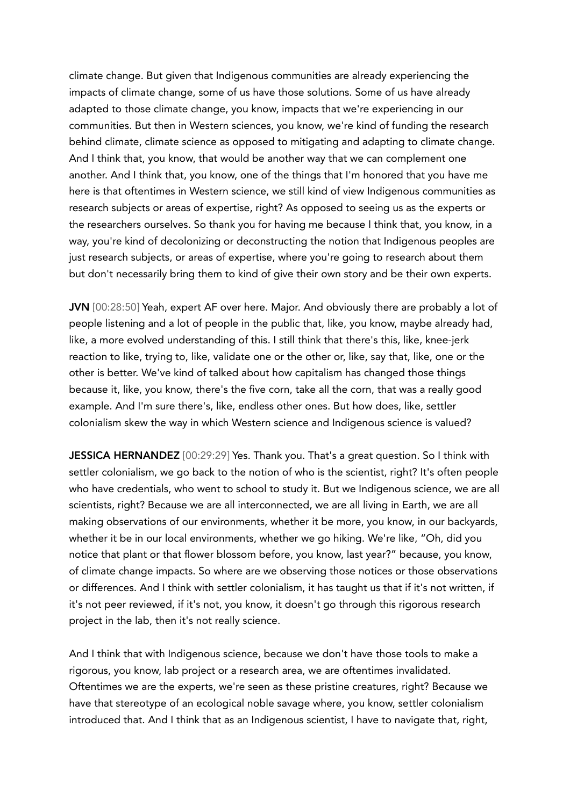climate change. But given that Indigenous communities are already experiencing the impacts of climate change, some of us have those solutions. Some of us have already adapted to those climate change, you know, impacts that we're experiencing in our communities. But then in Western sciences, you know, we're kind of funding the research behind climate, climate science as opposed to mitigating and adapting to climate change. And I think that, you know, that would be another way that we can complement one another. And I think that, you know, one of the things that I'm honored that you have me here is that oftentimes in Western science, we still kind of view Indigenous communities as research subjects or areas of expertise, right? As opposed to seeing us as the experts or the researchers ourselves. So thank you for having me because I think that, you know, in a way, you're kind of decolonizing or deconstructing the notion that Indigenous peoples are just research subjects, or areas of expertise, where you're going to research about them but don't necessarily bring them to kind of give their own story and be their own experts.

JVN [00:28:50] Yeah, expert AF over here. Major. And obviously there are probably a lot of people listening and a lot of people in the public that, like, you know, maybe already had, like, a more evolved understanding of this. I still think that there's this, like, knee-jerk reaction to like, trying to, like, validate one or the other or, like, say that, like, one or the other is better. We've kind of talked about how capitalism has changed those things because it, like, you know, there's the five corn, take all the corn, that was a really good example. And I'm sure there's, like, endless other ones. But how does, like, settler colonialism skew the way in which Western science and Indigenous science is valued?

JESSICA HERNANDEZ [00:29:29] Yes. Thank you. That's a great question. So I think with settler colonialism, we go back to the notion of who is the scientist, right? It's often people who have credentials, who went to school to study it. But we Indigenous science, we are all scientists, right? Because we are all interconnected, we are all living in Earth, we are all making observations of our environments, whether it be more, you know, in our backyards, whether it be in our local environments, whether we go hiking. We're like, "Oh, did you notice that plant or that flower blossom before, you know, last year?" because, you know, of climate change impacts. So where are we observing those notices or those observations or differences. And I think with settler colonialism, it has taught us that if it's not written, if it's not peer reviewed, if it's not, you know, it doesn't go through this rigorous research project in the lab, then it's not really science.

And I think that with Indigenous science, because we don't have those tools to make a rigorous, you know, lab project or a research area, we are oftentimes invalidated. Oftentimes we are the experts, we're seen as these pristine creatures, right? Because we have that stereotype of an ecological noble savage where, you know, settler colonialism introduced that. And I think that as an Indigenous scientist, I have to navigate that, right,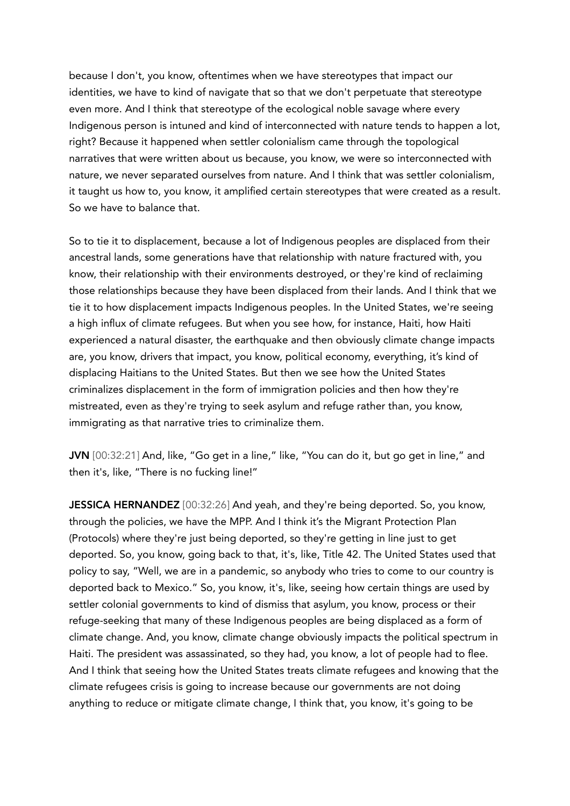because I don't, you know, oftentimes when we have stereotypes that impact our identities, we have to kind of navigate that so that we don't perpetuate that stereotype even more. And I think that stereotype of the ecological noble savage where every Indigenous person is intuned and kind of interconnected with nature tends to happen a lot, right? Because it happened when settler colonialism came through the topological narratives that were written about us because, you know, we were so interconnected with nature, we never separated ourselves from nature. And I think that was settler colonialism, it taught us how to, you know, it amplified certain stereotypes that were created as a result. So we have to balance that.

So to tie it to displacement, because a lot of Indigenous peoples are displaced from their ancestral lands, some generations have that relationship with nature fractured with, you know, their relationship with their environments destroyed, or they're kind of reclaiming those relationships because they have been displaced from their lands. And I think that we tie it to how displacement impacts Indigenous peoples. In the United States, we're seeing a high influx of climate refugees. But when you see how, for instance, Haiti, how Haiti experienced a natural disaster, the earthquake and then obviously climate change impacts are, you know, drivers that impact, you know, political economy, everything, it's kind of displacing Haitians to the United States. But then we see how the United States criminalizes displacement in the form of immigration policies and then how they're mistreated, even as they're trying to seek asylum and refuge rather than, you know, immigrating as that narrative tries to criminalize them.

JVN [00:32:21] And, like, "Go get in a line," like, "You can do it, but go get in line," and then it's, like, "There is no fucking line!"

JESSICA HERNANDEZ [00:32:26] And yeah, and they're being deported. So, you know, through the policies, we have the MPP. And I think it's the Migrant Protection Plan (Protocols) where they're just being deported, so they're getting in line just to get deported. So, you know, going back to that, it's, like, Title 42. The United States used that policy to say, "Well, we are in a pandemic, so anybody who tries to come to our country is deported back to Mexico." So, you know, it's, like, seeing how certain things are used by settler colonial governments to kind of dismiss that asylum, you know, process or their refuge-seeking that many of these Indigenous peoples are being displaced as a form of climate change. And, you know, climate change obviously impacts the political spectrum in Haiti. The president was assassinated, so they had, you know, a lot of people had to flee. And I think that seeing how the United States treats climate refugees and knowing that the climate refugees crisis is going to increase because our governments are not doing anything to reduce or mitigate climate change, I think that, you know, it's going to be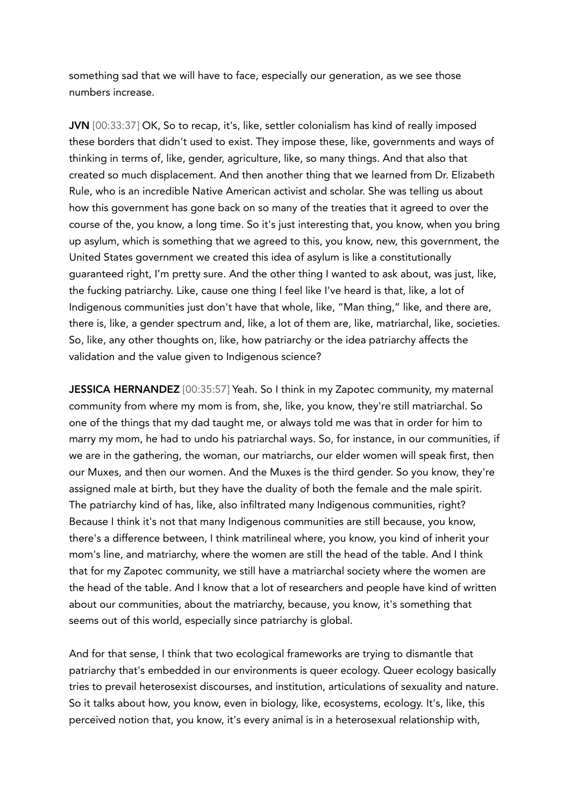something sad that we will have to face, especially our generation, as we see those numbers increase.

JVN [00:33:37] OK, So to recap, it's, like, settler colonialism has kind of really imposed these borders that didn't used to exist. They impose these, like, governments and ways of thinking in terms of, like, gender, agriculture, like, so many things. And that also that created so much displacement. And then another thing that we learned from Dr. Elizabeth Rule, who is an incredible Native American activist and scholar. She was telling us about how this government has gone back on so many of the treaties that it agreed to over the course of the, you know, a long time. So it's just interesting that, you know, when you bring up asylum, which is something that we agreed to this, you know, new, this government, the United States government we created this idea of asylum is like a constitutionally guaranteed right, I'm pretty sure. And the other thing I wanted to ask about, was just, like, the fucking patriarchy. Like, cause one thing I feel like I've heard is that, like, a lot of Indigenous communities just don't have that whole, like, "Man thing," like, and there are, there is, like, a gender spectrum and, like, a lot of them are, like, matriarchal, like, societies. So, like, any other thoughts on, like, how patriarchy or the idea patriarchy affects the validation and the value given to Indigenous science?

JESSICA HERNANDEZ [00:35:57] Yeah. So I think in my Zapotec community, my maternal community from where my mom is from, she, like, you know, they're still matriarchal. So one of the things that my dad taught me, or always told me was that in order for him to marry my mom, he had to undo his patriarchal ways. So, for instance, in our communities, if we are in the gathering, the woman, our matriarchs, our elder women will speak first, then our Muxes, and then our women. And the Muxes is the third gender. So you know, they're assigned male at birth, but they have the duality of both the female and the male spirit. The patriarchy kind of has, like, also infiltrated many Indigenous communities, right? Because I think it's not that many Indigenous communities are still because, you know, there's a difference between, I think matrilineal where, you know, you kind of inherit your mom's line, and matriarchy, where the women are still the head of the table. And I think that for my Zapotec community, we still have a matriarchal society where the women are the head of the table. And I know that a lot of researchers and people have kind of written about our communities, about the matriarchy, because, you know, it's something that seems out of this world, especially since patriarchy is global.

And for that sense, I think that two ecological frameworks are trying to dismantle that patriarchy that's embedded in our environments is queer ecology. Queer ecology basically tries to prevail heterosexist discourses, and institution, articulations of sexuality and nature. So it talks about how, you know, even in biology, like, ecosystems, ecology. It's, like, this perceived notion that, you know, it's every animal is in a heterosexual relationship with,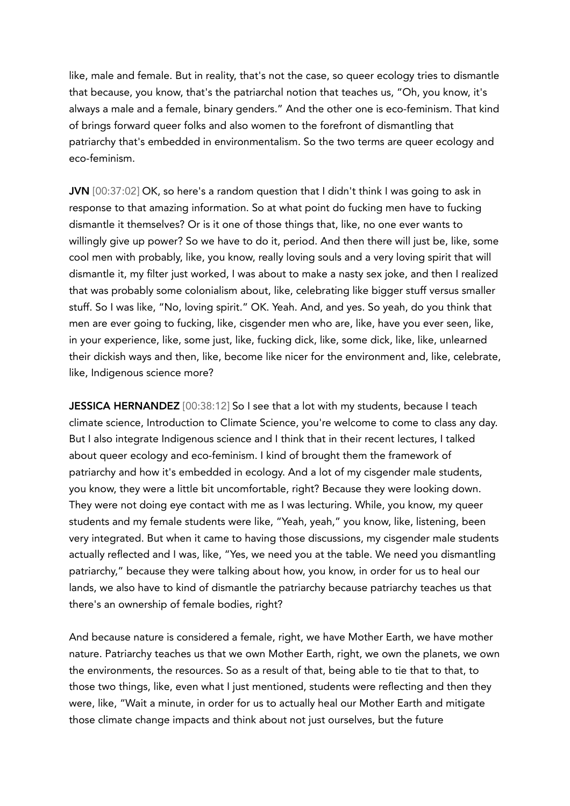like, male and female. But in reality, that's not the case, so queer ecology tries to dismantle that because, you know, that's the patriarchal notion that teaches us, "Oh, you know, it's always a male and a female, binary genders." And the other one is eco-feminism. That kind of brings forward queer folks and also women to the forefront of dismantling that patriarchy that's embedded in environmentalism. So the two terms are queer ecology and eco-feminism.

JVN [00:37:02] OK, so here's a random question that I didn't think I was going to ask in response to that amazing information. So at what point do fucking men have to fucking dismantle it themselves? Or is it one of those things that, like, no one ever wants to willingly give up power? So we have to do it, period. And then there will just be, like, some cool men with probably, like, you know, really loving souls and a very loving spirit that will dismantle it, my filter just worked, I was about to make a nasty sex joke, and then I realized that was probably some colonialism about, like, celebrating like bigger stuff versus smaller stuff. So I was like, "No, loving spirit." OK. Yeah. And, and yes. So yeah, do you think that men are ever going to fucking, like, cisgender men who are, like, have you ever seen, like, in your experience, like, some just, like, fucking dick, like, some dick, like, like, unlearned their dickish ways and then, like, become like nicer for the environment and, like, celebrate, like, Indigenous science more?

JESSICA HERNANDEZ [00:38:12] So I see that a lot with my students, because I teach climate science, Introduction to Climate Science, you're welcome to come to class any day. But I also integrate Indigenous science and I think that in their recent lectures, I talked about queer ecology and eco-feminism. I kind of brought them the framework of patriarchy and how it's embedded in ecology. And a lot of my cisgender male students, you know, they were a little bit uncomfortable, right? Because they were looking down. They were not doing eye contact with me as I was lecturing. While, you know, my queer students and my female students were like, "Yeah, yeah," you know, like, listening, been very integrated. But when it came to having those discussions, my cisgender male students actually reflected and I was, like, "Yes, we need you at the table. We need you dismantling patriarchy," because they were talking about how, you know, in order for us to heal our lands, we also have to kind of dismantle the patriarchy because patriarchy teaches us that there's an ownership of female bodies, right?

And because nature is considered a female, right, we have Mother Earth, we have mother nature. Patriarchy teaches us that we own Mother Earth, right, we own the planets, we own the environments, the resources. So as a result of that, being able to tie that to that, to those two things, like, even what I just mentioned, students were reflecting and then they were, like, "Wait a minute, in order for us to actually heal our Mother Earth and mitigate those climate change impacts and think about not just ourselves, but the future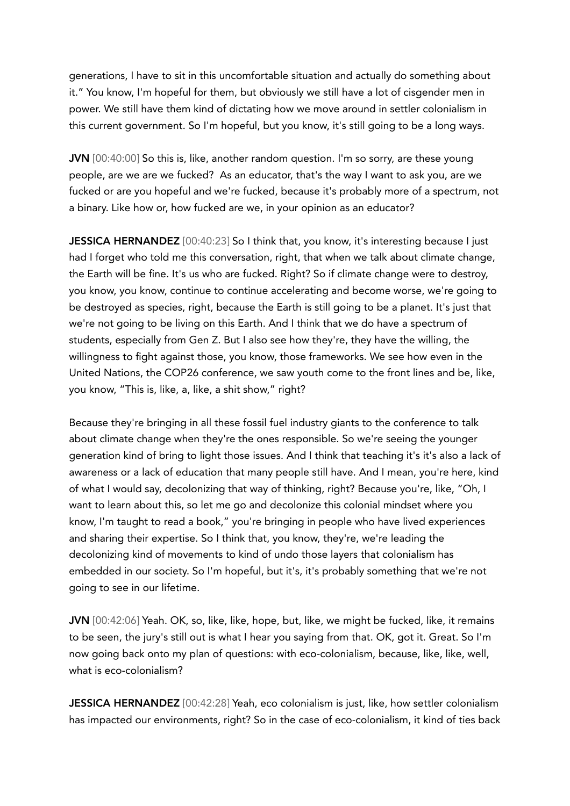generations, I have to sit in this uncomfortable situation and actually do something about it." You know, I'm hopeful for them, but obviously we still have a lot of cisgender men in power. We still have them kind of dictating how we move around in settler colonialism in this current government. So I'm hopeful, but you know, it's still going to be a long ways.

JVN [00:40:00] So this is, like, another random question. I'm so sorry, are these young people, are we are we fucked? As an educator, that's the way I want to ask you, are we fucked or are you hopeful and we're fucked, because it's probably more of a spectrum, not a binary. Like how or, how fucked are we, in your opinion as an educator?

JESSICA HERNANDEZ [00:40:23] So I think that, you know, it's interesting because I just had I forget who told me this conversation, right, that when we talk about climate change, the Earth will be fine. It's us who are fucked. Right? So if climate change were to destroy, you know, you know, continue to continue accelerating and become worse, we're going to be destroyed as species, right, because the Earth is still going to be a planet. It's just that we're not going to be living on this Earth. And I think that we do have a spectrum of students, especially from Gen Z. But I also see how they're, they have the willing, the willingness to fight against those, you know, those frameworks. We see how even in the United Nations, the COP26 conference, we saw youth come to the front lines and be, like, you know, "This is, like, a, like, a shit show," right?

Because they're bringing in all these fossil fuel industry giants to the conference to talk about climate change when they're the ones responsible. So we're seeing the younger generation kind of bring to light those issues. And I think that teaching it's it's also a lack of awareness or a lack of education that many people still have. And I mean, you're here, kind of what I would say, decolonizing that way of thinking, right? Because you're, like, "Oh, I want to learn about this, so let me go and decolonize this colonial mindset where you know, I'm taught to read a book," you're bringing in people who have lived experiences and sharing their expertise. So I think that, you know, they're, we're leading the decolonizing kind of movements to kind of undo those layers that colonialism has embedded in our society. So I'm hopeful, but it's, it's probably something that we're not going to see in our lifetime.

JVN [00:42:06] Yeah. OK, so, like, like, hope, but, like, we might be fucked, like, it remains to be seen, the jury's still out is what I hear you saying from that. OK, got it. Great. So I'm now going back onto my plan of questions: with eco-colonialism, because, like, like, well, what is eco-colonialism?

JESSICA HERNANDEZ [00:42:28] Yeah, eco colonialism is just, like, how settler colonialism has impacted our environments, right? So in the case of eco-colonialism, it kind of ties back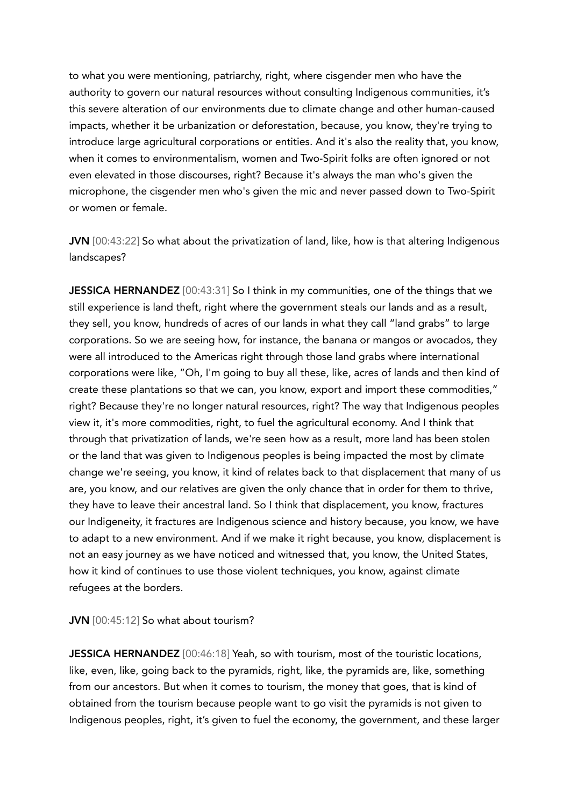to what you were mentioning, patriarchy, right, where cisgender men who have the authority to govern our natural resources without consulting Indigenous communities, it's this severe alteration of our environments due to climate change and other human-caused impacts, whether it be urbanization or deforestation, because, you know, they're trying to introduce large agricultural corporations or entities. And it's also the reality that, you know, when it comes to environmentalism, women and Two-Spirit folks are often ignored or not even elevated in those discourses, right? Because it's always the man who's given the microphone, the cisgender men who's given the mic and never passed down to Two-Spirit or women or female.

JVN [00:43:22] So what about the privatization of land, like, how is that altering Indigenous landscapes?

JESSICA HERNANDEZ [00:43:31] So I think in my communities, one of the things that we still experience is land theft, right where the government steals our lands and as a result, they sell, you know, hundreds of acres of our lands in what they call "land grabs" to large corporations. So we are seeing how, for instance, the banana or mangos or avocados, they were all introduced to the Americas right through those land grabs where international corporations were like, "Oh, I'm going to buy all these, like, acres of lands and then kind of create these plantations so that we can, you know, export and import these commodities," right? Because they're no longer natural resources, right? The way that Indigenous peoples view it, it's more commodities, right, to fuel the agricultural economy. And I think that through that privatization of lands, we're seen how as a result, more land has been stolen or the land that was given to Indigenous peoples is being impacted the most by climate change we're seeing, you know, it kind of relates back to that displacement that many of us are, you know, and our relatives are given the only chance that in order for them to thrive, they have to leave their ancestral land. So I think that displacement, you know, fractures our Indigeneity, it fractures are Indigenous science and history because, you know, we have to adapt to a new environment. And if we make it right because, you know, displacement is not an easy journey as we have noticed and witnessed that, you know, the United States, how it kind of continues to use those violent techniques, you know, against climate refugees at the borders.

## JVN [00:45:12] So what about tourism?

JESSICA HERNANDEZ [00:46:18] Yeah, so with tourism, most of the touristic locations, like, even, like, going back to the pyramids, right, like, the pyramids are, like, something from our ancestors. But when it comes to tourism, the money that goes, that is kind of obtained from the tourism because people want to go visit the pyramids is not given to Indigenous peoples, right, it's given to fuel the economy, the government, and these larger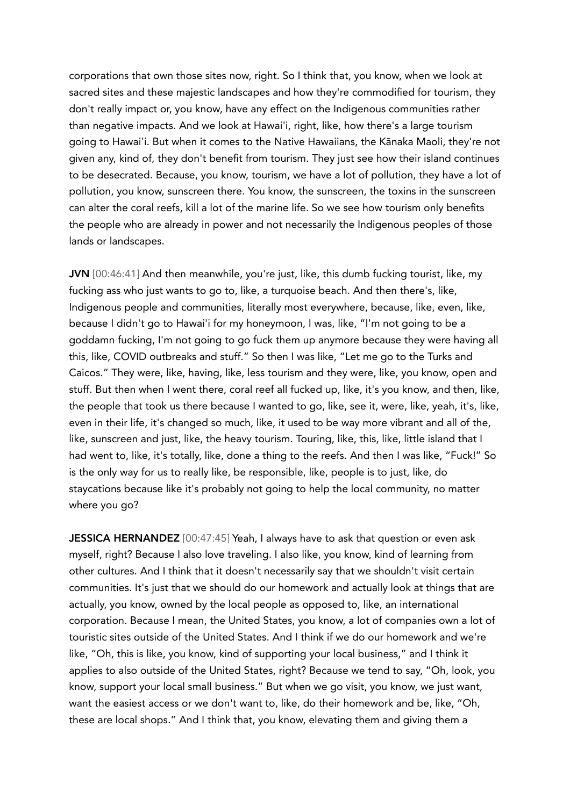corporations that own those sites now, right. So I think that, you know, when we look at sacred sites and these majestic landscapes and how they're commodified for tourism, they don't really impact or, you know, have any effect on the Indigenous communities rather than negative impacts. And we look at Hawai'i, right, like, how there's a large tourism going to Hawai'i. But when it comes to the Native Hawaiians, the Kānaka Maoli, they're not given any, kind of, they don't benefit from tourism. They just see how their island continues to be desecrated. Because, you know, tourism, we have a lot of pollution, they have a lot of pollution, you know, sunscreen there. You know, the sunscreen, the toxins in the sunscreen can alter the coral reefs, kill a lot of the marine life. So we see how tourism only benefits the people who are already in power and not necessarily the Indigenous peoples of those lands or landscapes.

JVN [00:46:41] And then meanwhile, you're just, like, this dumb fucking tourist, like, my fucking ass who just wants to go to, like, a turquoise beach. And then there's, like, Indigenous people and communities, literally most everywhere, because, like, even, like, because I didn't go to Hawai'i for my honeymoon, I was, like, "I'm not going to be a goddamn fucking, I'm not going to go fuck them up anymore because they were having all this, like, COVID outbreaks and stuff." So then I was like, "Let me go to the Turks and Caicos." They were, like, having, like, less tourism and they were, like, you know, open and stuff. But then when I went there, coral reef all fucked up, like, it's you know, and then, like, the people that took us there because I wanted to go, like, see it, were, like, yeah, it's, like, even in their life, it's changed so much, like, it used to be way more vibrant and all of the, like, sunscreen and just, like, the heavy tourism. Touring, like, this, like, little island that I had went to, like, it's totally, like, done a thing to the reefs. And then I was like, "Fuck!" So is the only way for us to really like, be responsible, like, people is to just, like, do staycations because like it's probably not going to help the local community, no matter where you go?

JESSICA HERNANDEZ [00:47:45] Yeah, I always have to ask that question or even ask myself, right? Because I also love traveling. I also like, you know, kind of learning from other cultures. And I think that it doesn't necessarily say that we shouldn't visit certain communities. It's just that we should do our homework and actually look at things that are actually, you know, owned by the local people as opposed to, like, an international corporation. Because I mean, the United States, you know, a lot of companies own a lot of touristic sites outside of the United States. And I think if we do our homework and we're like, "Oh, this is like, you know, kind of supporting your local business," and I think it applies to also outside of the United States, right? Because we tend to say, "Oh, look, you know, support your local small business." But when we go visit, you know, we just want, want the easiest access or we don't want to, like, do their homework and be, like, "Oh, these are local shops." And I think that, you know, elevating them and giving them a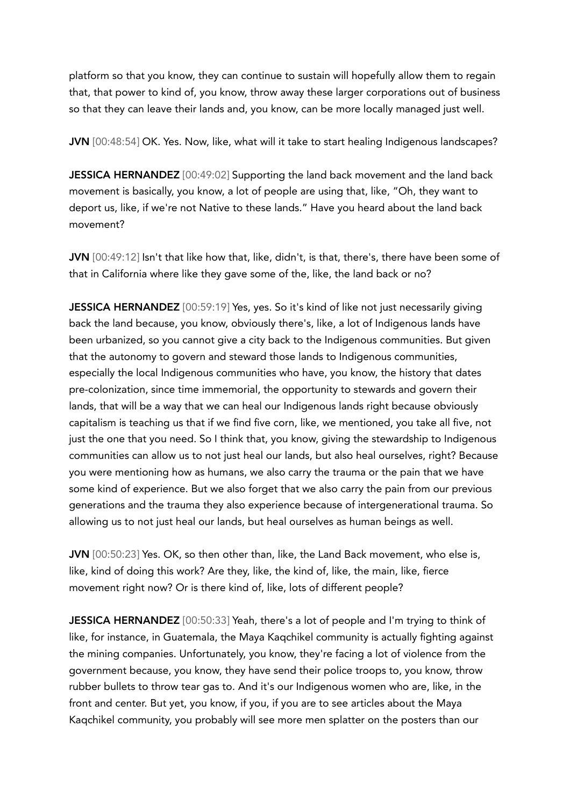platform so that you know, they can continue to sustain will hopefully allow them to regain that, that power to kind of, you know, throw away these larger corporations out of business so that they can leave their lands and, you know, can be more locally managed just well.

JVN [00:48:54] OK. Yes. Now, like, what will it take to start healing Indigenous landscapes?

JESSICA HERNANDEZ [00:49:02] Supporting the land back movement and the land back movement is basically, you know, a lot of people are using that, like, "Oh, they want to deport us, like, if we're not Native to these lands." Have you heard about the land back movement?

JVN [00:49:12] Isn't that like how that, like, didn't, is that, there's, there have been some of that in California where like they gave some of the, like, the land back or no?

JESSICA HERNANDEZ [00:59:19] Yes, yes. So it's kind of like not just necessarily giving back the land because, you know, obviously there's, like, a lot of Indigenous lands have been urbanized, so you cannot give a city back to the Indigenous communities. But given that the autonomy to govern and steward those lands to Indigenous communities, especially the local Indigenous communities who have, you know, the history that dates pre-colonization, since time immemorial, the opportunity to stewards and govern their lands, that will be a way that we can heal our Indigenous lands right because obviously capitalism is teaching us that if we find five corn, like, we mentioned, you take all five, not just the one that you need. So I think that, you know, giving the stewardship to Indigenous communities can allow us to not just heal our lands, but also heal ourselves, right? Because you were mentioning how as humans, we also carry the trauma or the pain that we have some kind of experience. But we also forget that we also carry the pain from our previous generations and the trauma they also experience because of intergenerational trauma. So allowing us to not just heal our lands, but heal ourselves as human beings as well.

JVN [00:50:23] Yes. OK, so then other than, like, the Land Back movement, who else is, like, kind of doing this work? Are they, like, the kind of, like, the main, like, fierce movement right now? Or is there kind of, like, lots of different people?

JESSICA HERNANDEZ [00:50:33] Yeah, there's a lot of people and I'm trying to think of like, for instance, in Guatemala, the Maya Kaqchikel community is actually fighting against the mining companies. Unfortunately, you know, they're facing a lot of violence from the government because, you know, they have send their police troops to, you know, throw rubber bullets to throw tear gas to. And it's our Indigenous women who are, like, in the front and center. But yet, you know, if you, if you are to see articles about the Maya Kaqchikel community, you probably will see more men splatter on the posters than our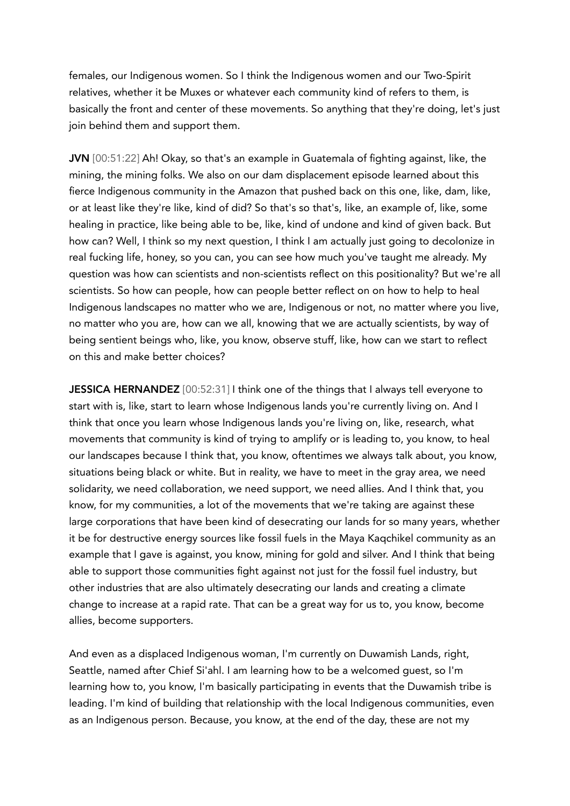females, our Indigenous women. So I think the Indigenous women and our Two-Spirit relatives, whether it be Muxes or whatever each community kind of refers to them, is basically the front and center of these movements. So anything that they're doing, let's just join behind them and support them.

JVN [00:51:22] Ah! Okay, so that's an example in Guatemala of fighting against, like, the mining, the mining folks. We also on our dam displacement episode learned about this fierce Indigenous community in the Amazon that pushed back on this one, like, dam, like, or at least like they're like, kind of did? So that's so that's, like, an example of, like, some healing in practice, like being able to be, like, kind of undone and kind of given back. But how can? Well, I think so my next question, I think I am actually just going to decolonize in real fucking life, honey, so you can, you can see how much you've taught me already. My question was how can scientists and non-scientists reflect on this positionality? But we're all scientists. So how can people, how can people better reflect on on how to help to heal Indigenous landscapes no matter who we are, Indigenous or not, no matter where you live, no matter who you are, how can we all, knowing that we are actually scientists, by way of being sentient beings who, like, you know, observe stuff, like, how can we start to reflect on this and make better choices?

JESSICA HERNANDEZ [00:52:31] I think one of the things that I always tell everyone to start with is, like, start to learn whose Indigenous lands you're currently living on. And I think that once you learn whose Indigenous lands you're living on, like, research, what movements that community is kind of trying to amplify or is leading to, you know, to heal our landscapes because I think that, you know, oftentimes we always talk about, you know, situations being black or white. But in reality, we have to meet in the gray area, we need solidarity, we need collaboration, we need support, we need allies. And I think that, you know, for my communities, a lot of the movements that we're taking are against these large corporations that have been kind of desecrating our lands for so many years, whether it be for destructive energy sources like fossil fuels in the Maya Kaqchikel community as an example that I gave is against, you know, mining for gold and silver. And I think that being able to support those communities fight against not just for the fossil fuel industry, but other industries that are also ultimately desecrating our lands and creating a climate change to increase at a rapid rate. That can be a great way for us to, you know, become allies, become supporters.

And even as a displaced Indigenous woman, I'm currently on Duwamish Lands, right, Seattle, named after Chief Si'ahl. I am learning how to be a welcomed guest, so I'm learning how to, you know, I'm basically participating in events that the Duwamish tribe is leading. I'm kind of building that relationship with the local Indigenous communities, even as an Indigenous person. Because, you know, at the end of the day, these are not my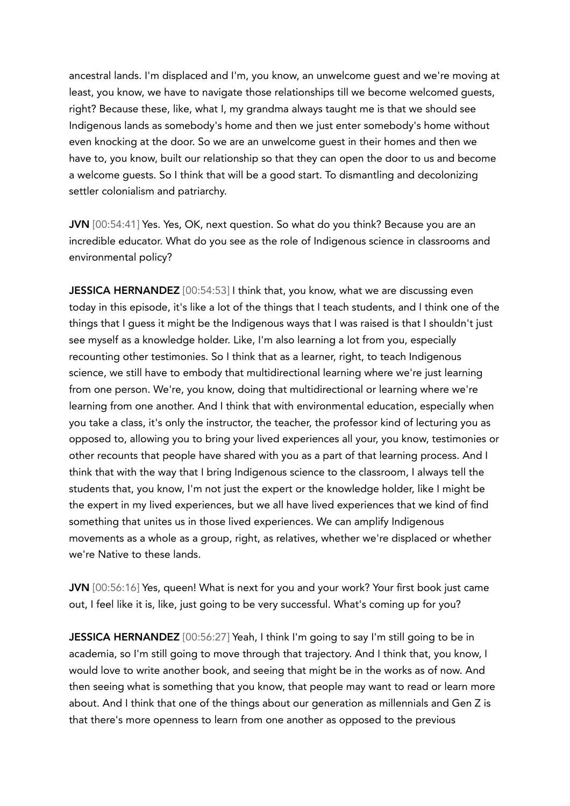ancestral lands. I'm displaced and I'm, you know, an unwelcome guest and we're moving at least, you know, we have to navigate those relationships till we become welcomed guests, right? Because these, like, what I, my grandma always taught me is that we should see Indigenous lands as somebody's home and then we just enter somebody's home without even knocking at the door. So we are an unwelcome guest in their homes and then we have to, you know, built our relationship so that they can open the door to us and become a welcome guests. So I think that will be a good start. To dismantling and decolonizing settler colonialism and patriarchy.

JVN [00:54:41] Yes. Yes, OK, next question. So what do you think? Because you are an incredible educator. What do you see as the role of Indigenous science in classrooms and environmental policy?

JESSICA HERNANDEZ [00:54:53] I think that, you know, what we are discussing even today in this episode, it's like a lot of the things that I teach students, and I think one of the things that I guess it might be the Indigenous ways that I was raised is that I shouldn't just see myself as a knowledge holder. Like, I'm also learning a lot from you, especially recounting other testimonies. So I think that as a learner, right, to teach Indigenous science, we still have to embody that multidirectional learning where we're just learning from one person. We're, you know, doing that multidirectional or learning where we're learning from one another. And I think that with environmental education, especially when you take a class, it's only the instructor, the teacher, the professor kind of lecturing you as opposed to, allowing you to bring your lived experiences all your, you know, testimonies or other recounts that people have shared with you as a part of that learning process. And I think that with the way that I bring Indigenous science to the classroom, I always tell the students that, you know, I'm not just the expert or the knowledge holder, like I might be the expert in my lived experiences, but we all have lived experiences that we kind of find something that unites us in those lived experiences. We can amplify Indigenous movements as a whole as a group, right, as relatives, whether we're displaced or whether we're Native to these lands.

JVN [00:56:16] Yes, queen! What is next for you and your work? Your first book just came out, I feel like it is, like, just going to be very successful. What's coming up for you?

JESSICA HERNANDEZ [00:56:27] Yeah, I think I'm going to say I'm still going to be in academia, so I'm still going to move through that trajectory. And I think that, you know, I would love to write another book, and seeing that might be in the works as of now. And then seeing what is something that you know, that people may want to read or learn more about. And I think that one of the things about our generation as millennials and Gen Z is that there's more openness to learn from one another as opposed to the previous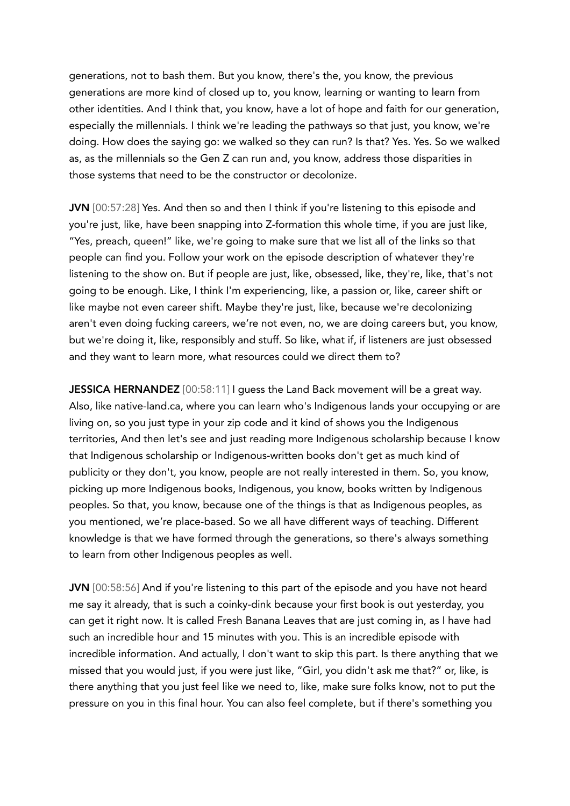generations, not to bash them. But you know, there's the, you know, the previous generations are more kind of closed up to, you know, learning or wanting to learn from other identities. And I think that, you know, have a lot of hope and faith for our generation, especially the millennials. I think we're leading the pathways so that just, you know, we're doing. How does the saying go: we walked so they can run? Is that? Yes. Yes. So we walked as, as the millennials so the Gen Z can run and, you know, address those disparities in those systems that need to be the constructor or decolonize.

JVN [00:57:28] Yes. And then so and then I think if you're listening to this episode and you're just, like, have been snapping into Z-formation this whole time, if you are just like, "Yes, preach, queen!" like, we're going to make sure that we list all of the links so that people can find you. Follow your work on the episode description of whatever they're listening to the show on. But if people are just, like, obsessed, like, they're, like, that's not going to be enough. Like, I think I'm experiencing, like, a passion or, like, career shift or like maybe not even career shift. Maybe they're just, like, because we're decolonizing aren't even doing fucking careers, we're not even, no, we are doing careers but, you know, but we're doing it, like, responsibly and stuff. So like, what if, if listeners are just obsessed and they want to learn more, what resources could we direct them to?

JESSICA HERNANDEZ [00:58:11] I guess the Land Back movement will be a great way. Also, like native-land.ca, where you can learn who's Indigenous lands your occupying or are living on, so you just type in your zip code and it kind of shows you the Indigenous territories, And then let's see and just reading more Indigenous scholarship because I know that Indigenous scholarship or Indigenous-written books don't get as much kind of publicity or they don't, you know, people are not really interested in them. So, you know, picking up more Indigenous books, Indigenous, you know, books written by Indigenous peoples. So that, you know, because one of the things is that as Indigenous peoples, as you mentioned, we're place-based. So we all have different ways of teaching. Different knowledge is that we have formed through the generations, so there's always something to learn from other Indigenous peoples as well.

JVN [00:58:56] And if you're listening to this part of the episode and you have not heard me say it already, that is such a coinky-dink because your first book is out yesterday, you can get it right now. It is called Fresh Banana Leaves that are just coming in, as I have had such an incredible hour and 15 minutes with you. This is an incredible episode with incredible information. And actually, I don't want to skip this part. Is there anything that we missed that you would just, if you were just like, "Girl, you didn't ask me that?" or, like, is there anything that you just feel like we need to, like, make sure folks know, not to put the pressure on you in this final hour. You can also feel complete, but if there's something you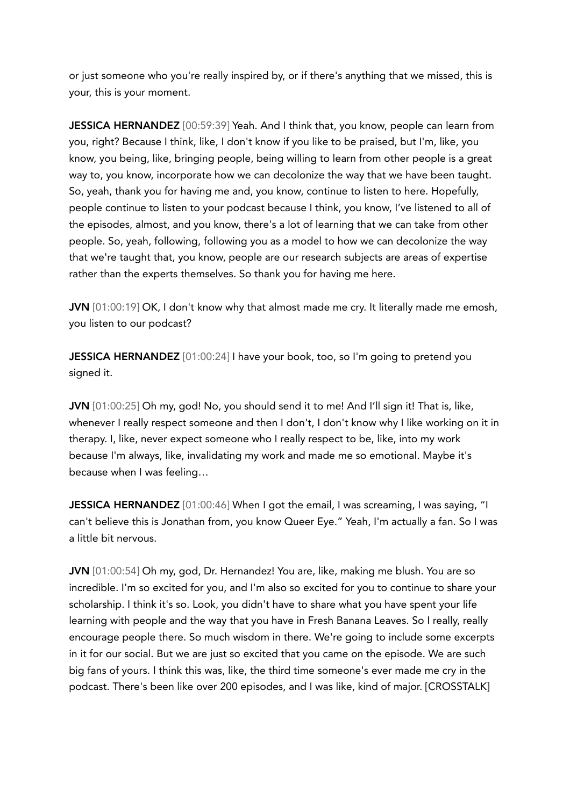or just someone who you're really inspired by, or if there's anything that we missed, this is your, this is your moment.

JESSICA HERNANDEZ [00:59:39] Yeah. And I think that, you know, people can learn from you, right? Because I think, like, I don't know if you like to be praised, but I'm, like, you know, you being, like, bringing people, being willing to learn from other people is a great way to, you know, incorporate how we can decolonize the way that we have been taught. So, yeah, thank you for having me and, you know, continue to listen to here. Hopefully, people continue to listen to your podcast because I think, you know, I've listened to all of the episodes, almost, and you know, there's a lot of learning that we can take from other people. So, yeah, following, following you as a model to how we can decolonize the way that we're taught that, you know, people are our research subjects are areas of expertise rather than the experts themselves. So thank you for having me here.

JVN [01:00:19] OK, I don't know why that almost made me cry. It literally made me emosh, you listen to our podcast?

JESSICA HERNANDEZ [01:00:24] I have your book, too, so I'm going to pretend you signed it.

JVN [01:00:25] Oh my, god! No, you should send it to me! And I'll sign it! That is, like, whenever I really respect someone and then I don't, I don't know why I like working on it in therapy. I, like, never expect someone who I really respect to be, like, into my work because I'm always, like, invalidating my work and made me so emotional. Maybe it's because when I was feeling…

JESSICA HERNANDEZ [01:00:46] When I got the email, I was screaming, I was saying, "I can't believe this is Jonathan from, you know Queer Eye." Yeah, I'm actually a fan. So I was a little bit nervous.

JVN [01:00:54] Oh my, god, Dr. Hernandez! You are, like, making me blush. You are so incredible. I'm so excited for you, and I'm also so excited for you to continue to share your scholarship. I think it's so. Look, you didn't have to share what you have spent your life learning with people and the way that you have in Fresh Banana Leaves. So I really, really encourage people there. So much wisdom in there. We're going to include some excerpts in it for our social. But we are just so excited that you came on the episode. We are such big fans of yours. I think this was, like, the third time someone's ever made me cry in the podcast. There's been like over 200 episodes, and I was like, kind of major. [CROSSTALK]